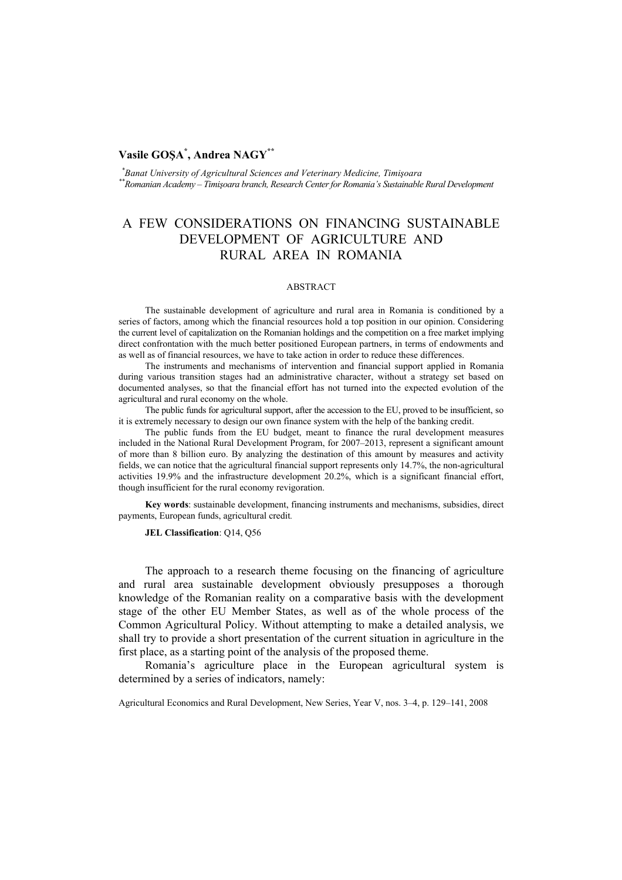## **Vasile GOŞA\* , Andrea NAGY\*\***

 *\*Banat University of Agricultural Sciences and Veterinary Medicine, Timişoara \*\*Romanian Academy – Timişoara branch, Research Center for Romania's Sustainable Rural Development* 

# A FEW CONSIDERATIONS ON FINANCING SUSTAINABLE DEVELOPMENT OF AGRICULTURE AND RURAL AREA IN ROMANIA

#### ABSTRACT

The sustainable development of agriculture and rural area in Romania is conditioned by a series of factors, among which the financial resources hold a top position in our opinion. Considering the current level of capitalization on the Romanian holdings and the competition on a free market implying direct confrontation with the much better positioned European partners, in terms of endowments and as well as of financial resources, we have to take action in order to reduce these differences.

The instruments and mechanisms of intervention and financial support applied in Romania during various transition stages had an administrative character, without a strategy set based on documented analyses, so that the financial effort has not turned into the expected evolution of the agricultural and rural economy on the whole.

The public funds for agricultural support, after the accession to the EU, proved to be insufficient, so it is extremely necessary to design our own finance system with the help of the banking credit.

The public funds from the EU budget, meant to finance the rural development measures included in the National Rural Development Program, for 2007–2013, represent a significant amount of more than 8 billion euro. By analyzing the destination of this amount by measures and activity fields, we can notice that the agricultural financial support represents only 14.7%, the non-agricultural activities 19.9% and the infrastructure development 20.2%, which is a significant financial effort, though insufficient for the rural economy revigoration.

**Key words**: sustainable development, financing instruments and mechanisms, subsidies, direct payments, European funds, agricultural credit*.* 

**JEL Classification**: Q14, Q56

The approach to a research theme focusing on the financing of agriculture and rural area sustainable development obviously presupposes a thorough knowledge of the Romanian reality on a comparative basis with the development stage of the other EU Member States, as well as of the whole process of the Common Agricultural Policy. Without attempting to make a detailed analysis, we shall try to provide a short presentation of the current situation in agriculture in the first place, as a starting point of the analysis of the proposed theme.

Romania's agriculture place in the European agricultural system is determined by a series of indicators, namely:

Agricultural Economics and Rural Development, New Series, Year V, nos. 3–4, p. 129–141, 2008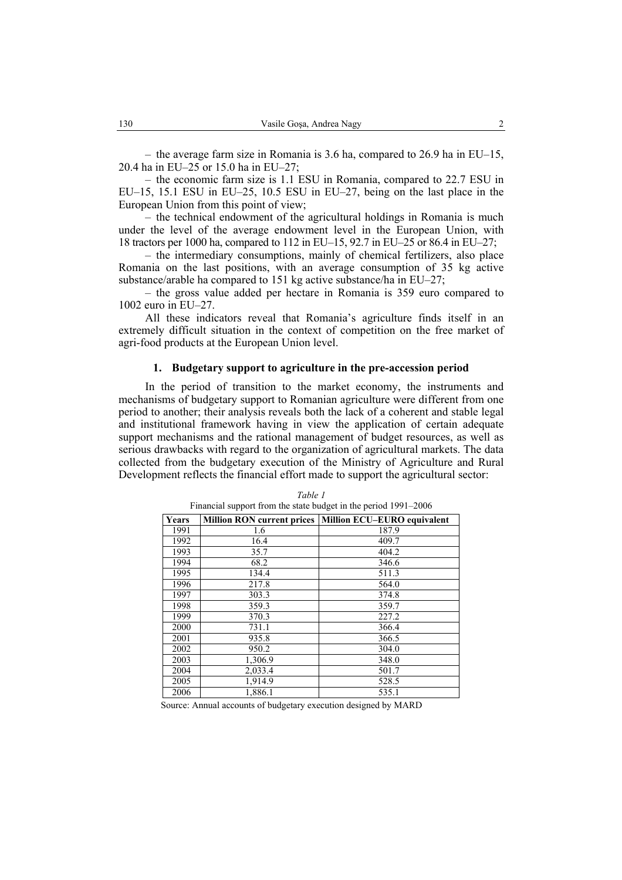– the average farm size in Romania is 3.6 ha, compared to 26.9 ha in EU–15, 20.4 ha in EU–25 or 15.0 ha in EU–27;

– the economic farm size is 1.1 ESU in Romania, compared to 22.7 ESU in EU–15, 15.1 ESU in EU–25, 10.5 ESU in EU–27, being on the last place in the European Union from this point of view;

– the technical endowment of the agricultural holdings in Romania is much under the level of the average endowment level in the European Union, with 18 tractors per 1000 ha, compared to 112 in EU–15, 92.7 in EU–25 or 86.4 in EU–27;

– the intermediary consumptions, mainly of chemical fertilizers, also place Romania on the last positions, with an average consumption of 35 kg active substance/arable ha compared to 151 kg active substance/ha in EU–27;

– the gross value added per hectare in Romania is 359 euro compared to 1002 euro in EU–27.

All these indicators reveal that Romania's agriculture finds itself in an extremely difficult situation in the context of competition on the free market of agri-food products at the European Union level.

#### **1. Budgetary support to agriculture in the pre-accession period**

In the period of transition to the market economy, the instruments and mechanisms of budgetary support to Romanian agriculture were different from one period to another; their analysis reveals both the lack of a coherent and stable legal and institutional framework having in view the application of certain adequate support mechanisms and the rational management of budget resources, as well as serious drawbacks with regard to the organization of agricultural markets. The data collected from the budgetary execution of the Ministry of Agriculture and Rural Development reflects the financial effort made to support the agricultural sector:

|       | Financial support from the state budget in the period 1991-2006 |       |  |  |  |  |
|-------|-----------------------------------------------------------------|-------|--|--|--|--|
| Years | Million RON current prices   Million ECU-EURO equivalent        |       |  |  |  |  |
| 1991  | 1.6                                                             | 187.9 |  |  |  |  |
| 1992  | 16.4                                                            | 409.7 |  |  |  |  |
| 1993  | 35.7                                                            | 404.2 |  |  |  |  |
| 1994  | 68.2                                                            | 346.6 |  |  |  |  |
| 1995  | 134.4                                                           | 511.3 |  |  |  |  |
| 1996  | 217.8                                                           | 564.0 |  |  |  |  |
| 1997  | 303.3                                                           | 374.8 |  |  |  |  |
| 1998  | 359.3                                                           | 359.7 |  |  |  |  |
| 1999  | 370.3                                                           | 227.2 |  |  |  |  |
| 2000  | 731.1                                                           | 366.4 |  |  |  |  |
| 2001  | 935.8                                                           | 366.5 |  |  |  |  |
| 2002  | 950.2                                                           | 304.0 |  |  |  |  |
| 2003  | 1,306.9                                                         | 348.0 |  |  |  |  |
| 2004  | 2,033.4                                                         | 501.7 |  |  |  |  |
| 2005  | 1,914.9                                                         | 528.5 |  |  |  |  |
| 2006  | 1,886.1                                                         | 535.1 |  |  |  |  |

*Table 1* 

Source: Annual accounts of budgetary execution designed by MARD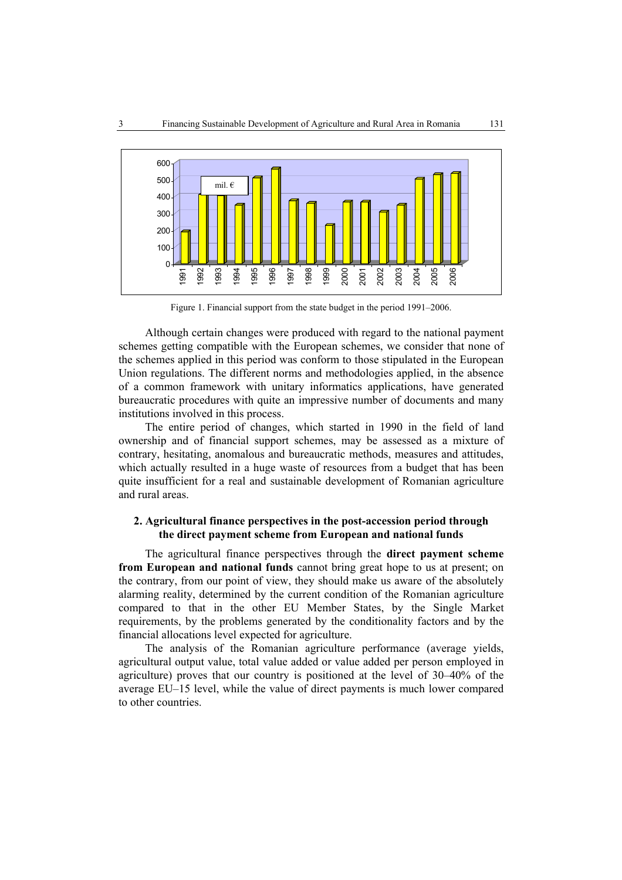

Figure 1. Financial support from the state budget in the period 1991–2006.

Although certain changes were produced with regard to the national payment schemes getting compatible with the European schemes, we consider that none of the schemes applied in this period was conform to those stipulated in the European Union regulations. The different norms and methodologies applied, in the absence of a common framework with unitary informatics applications, have generated bureaucratic procedures with quite an impressive number of documents and many institutions involved in this process.

The entire period of changes, which started in 1990 in the field of land ownership and of financial support schemes, may be assessed as a mixture of contrary, hesitating, anomalous and bureaucratic methods, measures and attitudes, which actually resulted in a huge waste of resources from a budget that has been quite insufficient for a real and sustainable development of Romanian agriculture and rural areas.

## **2. Agricultural finance perspectives in the post-accession period through the direct payment scheme from European and national funds**

The agricultural finance perspectives through the **direct payment scheme from European and national funds** cannot bring great hope to us at present; on the contrary, from our point of view, they should make us aware of the absolutely alarming reality, determined by the current condition of the Romanian agriculture compared to that in the other EU Member States, by the Single Market requirements, by the problems generated by the conditionality factors and by the financial allocations level expected for agriculture.

The analysis of the Romanian agriculture performance (average yields, agricultural output value, total value added or value added per person employed in agriculture) proves that our country is positioned at the level of 30–40% of the average EU–15 level, while the value of direct payments is much lower compared to other countries.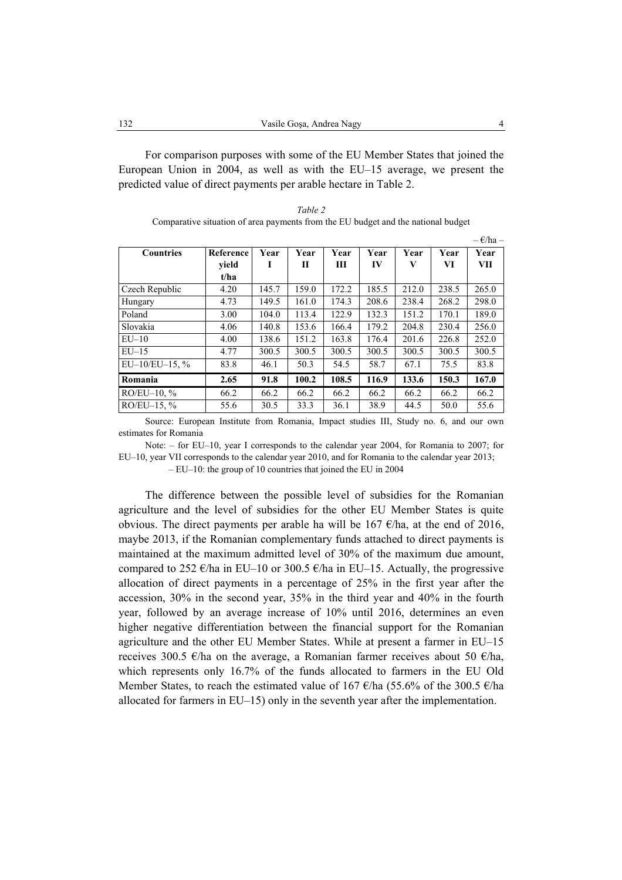For comparison purposes with some of the EU Member States that joined the European Union in 2004, as well as with the EU–15 average, we present the predicted value of direct payments per arable hectare in Table 2.

| Table 2                                                                           |
|-----------------------------------------------------------------------------------|
| Comparative situation of area payments from the EU budget and the national budget |

|                   |           |       |       |       |       |       |       | $-\epsilon$ /ha – |
|-------------------|-----------|-------|-------|-------|-------|-------|-------|-------------------|
| <b>Countries</b>  | Reference | Year  | Year  | Year  | Year  | Year  | Year  | Year              |
|                   | vield     | ı     | П     | Ш     | IV    | V     | VI    | VП                |
|                   | t/ha      |       |       |       |       |       |       |                   |
| Czech Republic    | 4.20      | 145.7 | 159.0 | 172.2 | 185.5 | 212.0 | 238.5 | 265.0             |
| Hungary           | 4.73      | 149.5 | 161.0 | 174.3 | 208.6 | 238.4 | 268.2 | 298.0             |
| Poland            | 3.00      | 104.0 | 113.4 | 122.9 | 132.3 | 151.2 | 170.1 | 189.0             |
| Slovakia          | 4.06      | 140.8 | 153.6 | 166.4 | 179.2 | 204.8 | 230.4 | 256.0             |
| $EU-10$           | 4.00      | 138.6 | 151.2 | 163.8 | 176.4 | 201.6 | 226.8 | 252.0             |
| $EU-15$           | 4.77      | 300.5 | 300.5 | 300.5 | 300.5 | 300.5 | 300.5 | 300.5             |
| $EU-10/EU-15, \%$ | 83.8      | 46.1  | 50.3  | 54.5  | 58.7  | 67.1  | 75.5  | 83.8              |
| Romania           | 2.65      | 91.8  | 100.2 | 108.5 | 116.9 | 133.6 | 150.3 | 167.0             |
| $RO/EU-10, %$     | 66.2      | 66.2  | 66.2  | 66.2  | 66.2  | 66.2  | 66.2  | 66.2              |
| $RO/EU-15, %$     | 55.6      | 30.5  | 33.3  | 36.1  | 38.9  | 44.5  | 50.0  | 55.6              |

Source: European Institute from Romania, Impact studies III, Study no. 6, and our own estimates for Romania

Note: – for EU–10, year I corresponds to the calendar year 2004, for Romania to 2007; for EU–10, year VII corresponds to the calendar year 2010, and for Romania to the calendar year 2013;

– EU–10: the group of 10 countries that joined the EU in 2004

The difference between the possible level of subsidies for the Romanian agriculture and the level of subsidies for the other EU Member States is quite obvious. The direct payments per arable ha will be 167  $\epsilon$ /ha, at the end of 2016, maybe 2013, if the Romanian complementary funds attached to direct payments is maintained at the maximum admitted level of 30% of the maximum due amount, compared to 252  $\epsilon$ /ha in EU–10 or 300.5  $\epsilon$ /ha in EU–15. Actually, the progressive allocation of direct payments in a percentage of 25% in the first year after the accession, 30% in the second year, 35% in the third year and 40% in the fourth year, followed by an average increase of 10% until 2016, determines an even higher negative differentiation between the financial support for the Romanian agriculture and the other EU Member States. While at present a farmer in EU–15 receives 300.5  $\epsilon$ /ha on the average, a Romanian farmer receives about 50  $\epsilon$ /ha, which represents only 16.7% of the funds allocated to farmers in the EU Old Member States, to reach the estimated value of 167  $\epsilon$ /ha (55.6% of the 300.5  $\epsilon$ /ha allocated for farmers in EU–15) only in the seventh year after the implementation.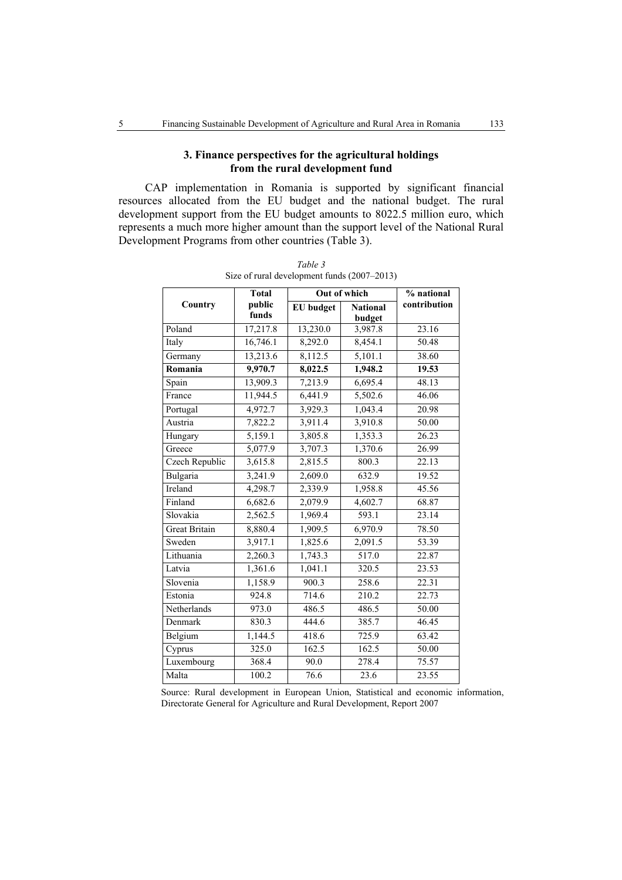## **3. Finance perspectives for the agricultural holdings from the rural development fund**

CAP implementation in Romania is supported by significant financial resources allocated from the EU budget and the national budget. The rural development support from the EU budget amounts to 8022.5 million euro, which represents a much more higher amount than the support level of the National Rural Development Programs from other countries (Table 3).

|                      | <b>Total</b>         | <b>Out of which</b> | % national                |              |
|----------------------|----------------------|---------------------|---------------------------|--------------|
| Country              | public<br>funds      | <b>EU</b> budget    | <b>National</b><br>budget | contribution |
| Poland               | 17,217.8             | 13,230.0            | 3,987.8                   | 23.16        |
| Italy                | 16,746.1             | 8,292.0             | 8,454.1                   | 50.48        |
| Germany              | 13,213.6             | 8,112.5             | 5,101.1                   | 38.60        |
| Romania              | 9,970.7              | 8,022.5             | 1.948.2                   | 19.53        |
| Spain                | 13,909.3             | 7,213.9             | 6,695.4                   | 48.13        |
| France               | 11,944.5             | 6,441.9             | 5,502.6                   | 46.06        |
| Portugal             | 4,972.7              | 3,929.3             | 1,043.4                   | 20.98        |
| Austria              | 7,822.2              | 3,911.4             | 3,910.8                   | 50.00        |
| Hungary              | $\overline{5,159.1}$ | 3,805.8             | 1,353.3                   | 26.23        |
| Greece               | 5,077.9              | 3,707.3             | 1,370.6                   | 26.99        |
| Czech Republic       | 3,615.8              | 2,815.5             | 800.3                     | 22.13        |
| Bulgaria             | 3,241.9              | 2,609.0             | 632.9                     | 19.52        |
| Ireland              | 4,298.7              | 2,339.9             | 1,958.8                   | 45.56        |
| Finland              | 6,682.6              | 2,079.9             | 4,602.7                   | 68.87        |
| Slovakia             | 2,562.5              | 1,969.4             | 593.1                     | 23.14        |
| <b>Great Britain</b> | $8,880.\overline{4}$ | 1,909.5             | 6,970.9                   | 78.50        |
| Sweden               | 3,917.1              | 1,825.6             | 2,091.5                   | 53.39        |
| Lithuania            | 2,260.3              | 1,743.3             | 517.0                     | 22.87        |
| Latvia               | 1,361.6              | 1,041.1             | 320.5                     | 23.53        |
| Slovenia             | 1,158.9              | 900.3               | 258.6                     | 22.31        |
| Estonia              | 924.8                | 714.6               | 210.2                     | 22.73        |
| Netherlands          | 973.0                | 486.5               | 486.5                     | 50.00        |
| Denmark              | 830.3                | 444.6               | 385.7                     | 46.45        |
| Belgium              | 1,144.5              | 418.6               | 725.9                     | 63.42        |
| Cyprus               | 325.0                | 162.5               | 162.5                     | 50.00        |
| Luxembourg           | 368.4                | 90.0                | 278.4                     | 75.57        |
| Malta                | 100.2                | 76.6                | 23.6                      | 23.55        |

*Table 3*  Size of rural development funds (2007–2013)

Source: Rural development in European Union, Statistical and economic information, Directorate General for Agriculture and Rural Development, Report 2007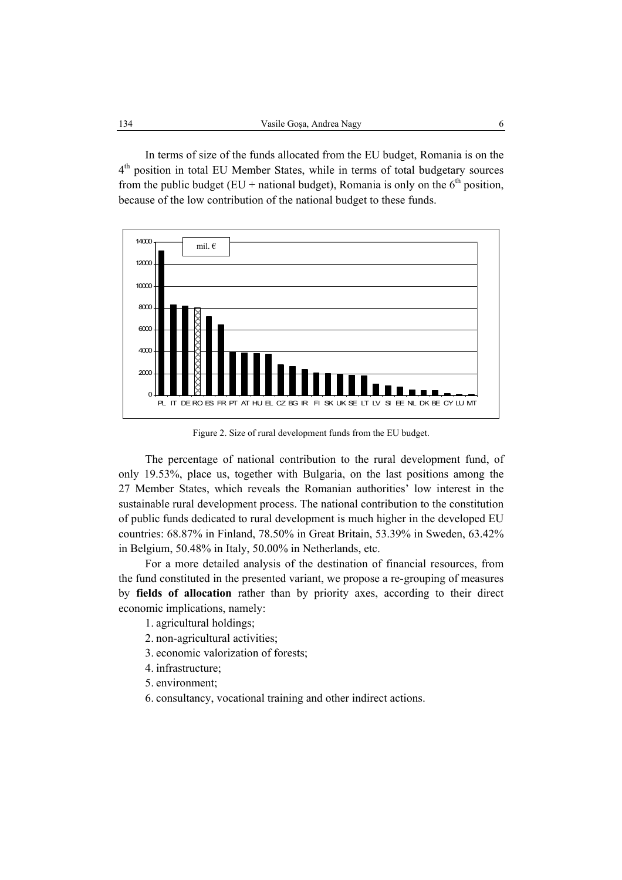In terms of size of the funds allocated from the EU budget, Romania is on the 4<sup>th</sup> position in total EU Member States, while in terms of total budgetary sources from the public budget (EU + national budget), Romania is only on the  $6<sup>th</sup>$  position, because of the low contribution of the national budget to these funds.



Figure 2. Size of rural development funds from the EU budget.

The percentage of national contribution to the rural development fund, of only 19.53%, place us, together with Bulgaria, on the last positions among the 27 Member States, which reveals the Romanian authorities' low interest in the sustainable rural development process. The national contribution to the constitution of public funds dedicated to rural development is much higher in the developed EU countries: 68.87% in Finland, 78.50% in Great Britain, 53.39% in Sweden, 63.42% in Belgium, 50.48% in Italy, 50.00% in Netherlands, etc.

For a more detailed analysis of the destination of financial resources, from the fund constituted in the presented variant, we propose a re-grouping of measures by **fields of allocation** rather than by priority axes, according to their direct economic implications, namely:

1. agricultural holdings;

- 2. non-agricultural activities;
- 3. economic valorization of forests;
- 4. infrastructure;
- 5. environment;
- 6. consultancy, vocational training and other indirect actions.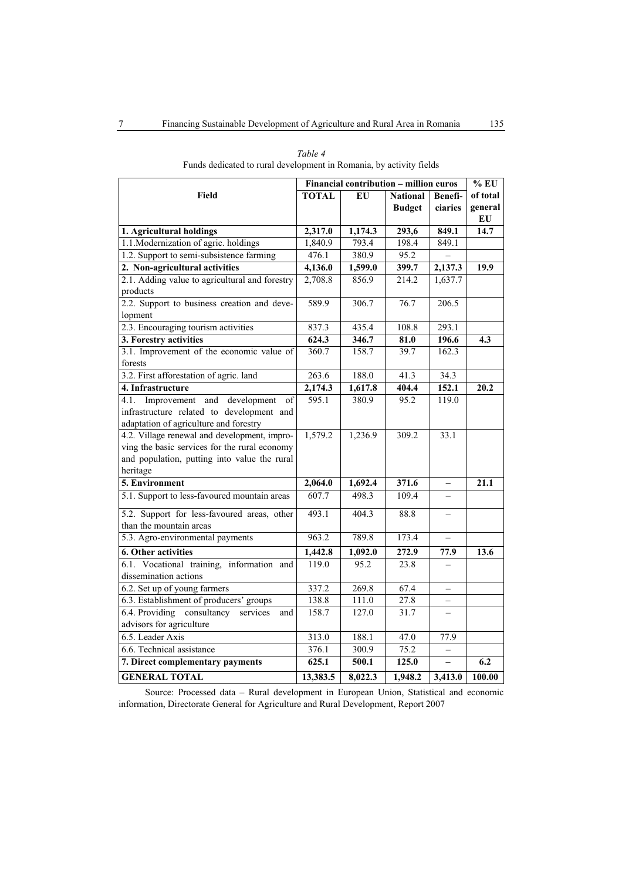|                                                 | Financial contribution - million euros |         |                 |                          | $%$ EU   |
|-------------------------------------------------|----------------------------------------|---------|-----------------|--------------------------|----------|
| Field                                           | <b>TOTAL</b>                           | EU      | <b>National</b> | Benefi-                  | of total |
|                                                 |                                        |         | <b>Budget</b>   | ciaries                  | general  |
|                                                 |                                        |         |                 |                          | EU       |
| 1. Agricultural holdings                        | 2,317.0                                | 1,174.3 | 293,6           | 849.1                    | 14.7     |
| 1.1. Modernization of agric. holdings           | 1,840.9                                | 793.4   | 198.4           | 849.1                    |          |
| 1.2. Support to semi-subsistence farming        | 476.1                                  | 380.9   | 95.2            |                          |          |
| 2. Non-agricultural activities                  | 4,136.0                                | 1,599.0 | 399.7           | 2,137.3                  | 19.9     |
| 2.1. Adding value to agricultural and forestry  | 2,708.8                                | 856.9   | 214.2           | 1,637.7                  |          |
| products                                        |                                        |         |                 |                          |          |
| 2.2. Support to business creation and deve-     | 589.9                                  | 306.7   | 76.7            | 206.5                    |          |
| lopment                                         |                                        |         |                 |                          |          |
| 2.3. Encouraging tourism activities             | 837.3                                  | 435.4   | 108.8           | 293.1                    |          |
| 3. Forestry activities                          | 624.3                                  | 346.7   | 81.0            | 196.6                    | 4.3      |
| 3.1. Improvement of the economic value of       | 360.7                                  | 158.7   | 39.7            | 162.3                    |          |
| forests                                         |                                        |         |                 |                          |          |
| 3.2. First afforestation of agric. land         | 263.6                                  | 188.0   | 41.3            | 34.3                     |          |
| 4. Infrastructure                               | 2,174.3                                | 1,617.8 | 404.4           | 152.1                    | 20.2     |
| development<br>4.1.<br>Improvement<br>and<br>of | 595.1                                  | 380.9   | 95.2            | 119.0                    |          |
| infrastructure related to development and       |                                        |         |                 |                          |          |
| adaptation of agriculture and forestry          |                                        |         |                 |                          |          |
| 4.2. Village renewal and development, impro-    | 1,579.2                                | 1,236.9 | 309.2           | 33.1                     |          |
| ving the basic services for the rural economy   |                                        |         |                 |                          |          |
| and population, putting into value the rural    |                                        |         |                 |                          |          |
| heritage                                        |                                        |         |                 |                          |          |
| 5. Environment                                  | 2,064.0                                | 1,692.4 | 371.6           | $\qquad \qquad -$        | 21.1     |
| 5.1. Support to less-favoured mountain areas    | 607.7                                  | 498.3   | 109.4           |                          |          |
| 5.2. Support for less-favoured areas, other     | 493.1                                  | 404.3   | 88.8            |                          |          |
| than the mountain areas                         |                                        |         |                 |                          |          |
| 5.3. Agro-environmental payments                | 963.2                                  | 789.8   | 173.4           |                          |          |
| 6. Other activities                             | 1,442.8                                | 1,092.0 | 272.9           | 77.9                     | 13.6     |
| 6.1. Vocational training, information and       | 119.0                                  | 95.2    | 23.8            |                          |          |
| dissemination actions                           |                                        |         |                 |                          |          |
| 6.2. Set up of young farmers                    | 337.2                                  | 269.8   | 67.4            |                          |          |
| 6.3. Establishment of producers' groups         | 138.8                                  | 111.0   | 27.8            |                          |          |
| 6.4. Providing consultancy<br>services<br>and   | 158.7                                  | 127.0   | 31.7            |                          |          |
| advisors for agriculture                        |                                        |         |                 |                          |          |
| 6.5. Leader Axis                                | 313.0                                  | 188.1   | 47.0            | 77.9                     |          |
| 6.6. Technical assistance                       | 376.1                                  | 300.9   | 75.2            | $\overline{\phantom{0}}$ |          |
| 7. Direct complementary payments                | 625.1                                  | 500.1   | 125.0           |                          | 6.2      |
| <b>GENERAL TOTAL</b>                            | 13,383.5                               | 8,022.3 | 1,948.2         | 3.413.0                  | 100.00   |

| Table 4                                                             |  |
|---------------------------------------------------------------------|--|
| Funds dedicated to rural development in Romania, by activity fields |  |

Source: Processed data – Rural development in European Union, Statistical and economic information, Directorate General for Agriculture and Rural Development, Report 2007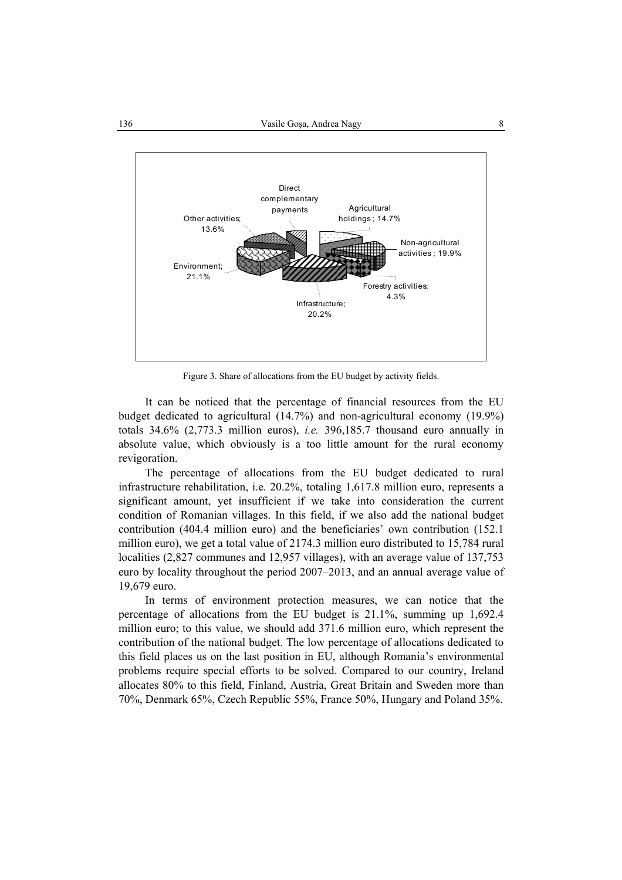

Figure 3. Share of allocations from the EU budget by activity fields.

It can be noticed that the percentage of financial resources from the EU budget dedicated to agricultural (14.7%) and non-agricultural economy (19.9%) totals 34.6% (2,773.3 million euros), *i.e.* 396,185.7 thousand euro annually in absolute value, which obviously is a too little amount for the rural economy revigoration.

The percentage of allocations from the EU budget dedicated to rural infrastructure rehabilitation, i.e. 20.2%, totaling 1,617.8 million euro, represents a significant amount, yet insufficient if we take into consideration the current condition of Romanian villages. In this field, if we also add the national budget contribution (404.4 million euro) and the beneficiaries' own contribution (152.1 million euro), we get a total value of 2174.3 million euro distributed to 15,784 rural localities (2,827 communes and 12,957 villages), with an average value of 137,753 euro by locality throughout the period 2007–2013, and an annual average value of 19,679 euro.

In terms of environment protection measures, we can notice that the percentage of allocations from the EU budget is 21.1%, summing up 1,692.4 million euro; to this value, we should add 371.6 million euro, which represent the contribution of the national budget. The low percentage of allocations dedicated to this field places us on the last position in EU, although Romania's environmental problems require special efforts to be solved. Compared to our country, Ireland allocates 80% to this field, Finland, Austria, Great Britain and Sweden more than 70%, Denmark 65%, Czech Republic 55%, France 50%, Hungary and Poland 35%.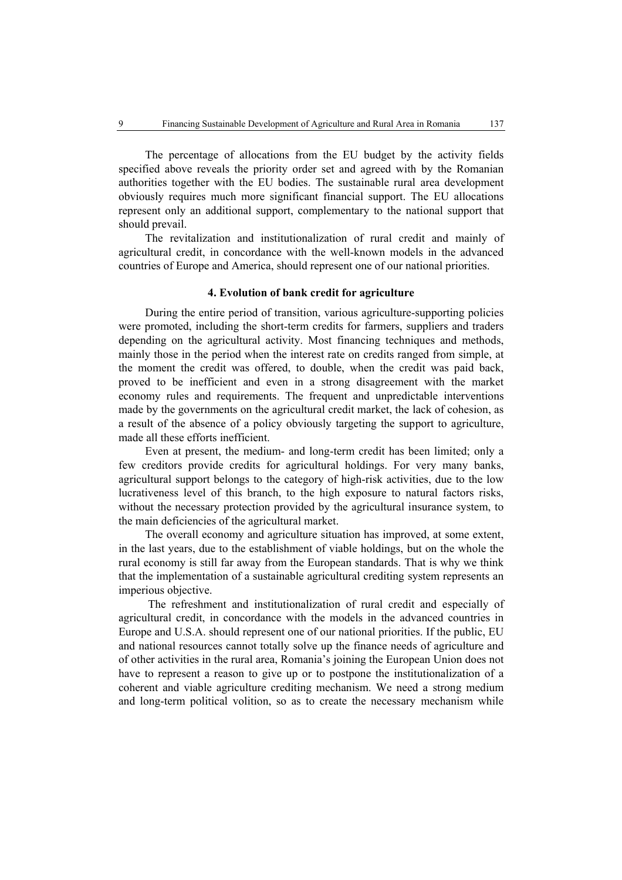The percentage of allocations from the EU budget by the activity fields specified above reveals the priority order set and agreed with by the Romanian authorities together with the EU bodies. The sustainable rural area development obviously requires much more significant financial support. The EU allocations represent only an additional support, complementary to the national support that should prevail.

The revitalization and institutionalization of rural credit and mainly of agricultural credit, in concordance with the well-known models in the advanced countries of Europe and America, should represent one of our national priorities.

### **4. Evolution of bank credit for agriculture**

During the entire period of transition, various agriculture-supporting policies were promoted, including the short-term credits for farmers, suppliers and traders depending on the agricultural activity. Most financing techniques and methods, mainly those in the period when the interest rate on credits ranged from simple, at the moment the credit was offered, to double, when the credit was paid back, proved to be inefficient and even in a strong disagreement with the market economy rules and requirements. The frequent and unpredictable interventions made by the governments on the agricultural credit market, the lack of cohesion, as a result of the absence of a policy obviously targeting the support to agriculture, made all these efforts inefficient.

Even at present, the medium- and long-term credit has been limited; only a few creditors provide credits for agricultural holdings. For very many banks, agricultural support belongs to the category of high-risk activities, due to the low lucrativeness level of this branch, to the high exposure to natural factors risks, without the necessary protection provided by the agricultural insurance system, to the main deficiencies of the agricultural market.

The overall economy and agriculture situation has improved, at some extent, in the last years, due to the establishment of viable holdings, but on the whole the rural economy is still far away from the European standards. That is why we think that the implementation of a sustainable agricultural crediting system represents an imperious objective.

 The refreshment and institutionalization of rural credit and especially of agricultural credit, in concordance with the models in the advanced countries in Europe and U.S.A. should represent one of our national priorities. If the public, EU and national resources cannot totally solve up the finance needs of agriculture and of other activities in the rural area, Romania's joining the European Union does not have to represent a reason to give up or to postpone the institutionalization of a coherent and viable agriculture crediting mechanism. We need a strong medium and long-term political volition, so as to create the necessary mechanism while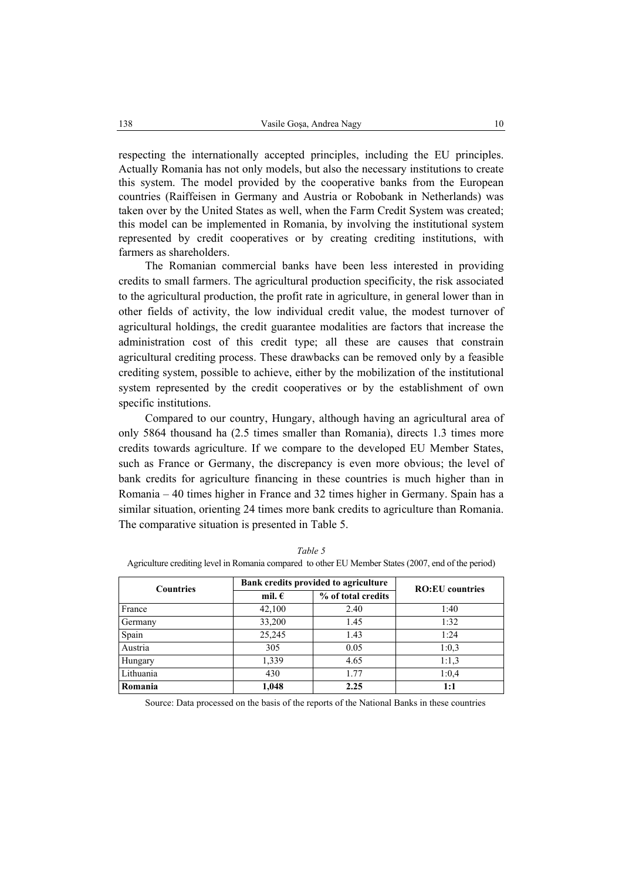respecting the internationally accepted principles, including the EU principles. Actually Romania has not only models, but also the necessary institutions to create this system. The model provided by the cooperative banks from the European countries (Raiffeisen in Germany and Austria or Robobank in Netherlands) was taken over by the United States as well, when the Farm Credit System was created; this model can be implemented in Romania, by involving the institutional system represented by credit cooperatives or by creating crediting institutions, with farmers as shareholders.

The Romanian commercial banks have been less interested in providing credits to small farmers. The agricultural production specificity, the risk associated to the agricultural production, the profit rate in agriculture, in general lower than in other fields of activity, the low individual credit value, the modest turnover of agricultural holdings, the credit guarantee modalities are factors that increase the administration cost of this credit type; all these are causes that constrain agricultural crediting process. These drawbacks can be removed only by a feasible crediting system, possible to achieve, either by the mobilization of the institutional system represented by the credit cooperatives or by the establishment of own specific institutions.

Compared to our country, Hungary, although having an agricultural area of only 5864 thousand ha (2.5 times smaller than Romania), directs 1.3 times more credits towards agriculture. If we compare to the developed EU Member States, such as France or Germany, the discrepancy is even more obvious; the level of bank credits for agriculture financing in these countries is much higher than in Romania – 40 times higher in France and 32 times higher in Germany. Spain has a similar situation, orienting 24 times more bank credits to agriculture than Romania. The comparative situation is presented in Table 5.

| <b>Countries</b> | Bank credits provided to agriculture | <b>RO:EU</b> countries |       |
|------------------|--------------------------------------|------------------------|-------|
|                  | mil. $\epsilon$                      | % of total credits     |       |
| France           | 42,100                               | 2.40                   | 1:40  |
| Germany          | 33,200                               | 1.45                   | 1:32  |
| Spain            | 25,245                               | 1.43                   | 1:24  |
| Austria          | 305                                  | 0.05                   | 1:0.3 |
| Hungary          | 1,339                                | 4.65                   | 1:1.3 |
| Lithuania        | 430                                  | 1.77                   | 1:0.4 |
| Romania          | 1,048                                | 2.25                   | 1:1   |

*Table 5*  Agriculture crediting level in Romania compared to other EU Member States (2007, end of the period)

Source: Data processed on the basis of the reports of the National Banks in these countries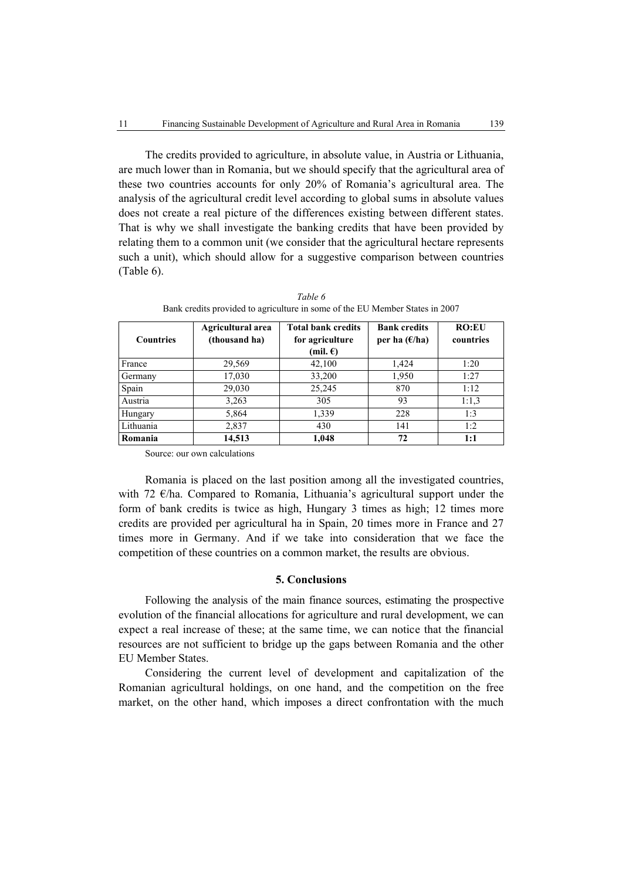The credits provided to agriculture, in absolute value, in Austria or Lithuania, are much lower than in Romania, but we should specify that the agricultural area of these two countries accounts for only 20% of Romania's agricultural area. The analysis of the agricultural credit level according to global sums in absolute values does not create a real picture of the differences existing between different states. That is why we shall investigate the banking credits that have been provided by relating them to a common unit (we consider that the agricultural hectare represents such a unit), which should allow for a suggestive comparison between countries (Table 6).

| <b>Countries</b> | Agricultural area<br>(thousand ha) | <b>Total bank credits</b><br>for agriculture<br>(mil. $\epsilon$ ) | <b>Bank credits</b><br>per ha $(E/ha)$ | <b>RO:EU</b><br>countries |
|------------------|------------------------------------|--------------------------------------------------------------------|----------------------------------------|---------------------------|
| France           | 29,569                             | 42,100                                                             | 1,424                                  | 1:20                      |
| Germany          | 17,030                             | 33,200                                                             | 1,950                                  | 1:27                      |
| Spain            | 29,030                             | 25,245                                                             | 870                                    | 1:12                      |
| Austria          | 3,263                              | 305                                                                | 93                                     | 1:1.3                     |
| Hungary          | 5,864                              | 1,339                                                              | 228                                    | 1:3                       |
| Lithuania        | 2,837                              | 430                                                                | 141                                    | 1:2                       |
| Romania          | 14,513                             | 1,048                                                              | 72                                     | 1:1                       |

*Table 6*  Bank credits provided to agriculture in some of the EU Member States in 2007

Source: our own calculations

Romania is placed on the last position among all the investigated countries, with 72 €/ha. Compared to Romania, Lithuania's agricultural support under the form of bank credits is twice as high, Hungary 3 times as high; 12 times more credits are provided per agricultural ha in Spain, 20 times more in France and 27 times more in Germany. And if we take into consideration that we face the competition of these countries on a common market, the results are obvious.

### **5. Conclusions**

Following the analysis of the main finance sources, estimating the prospective evolution of the financial allocations for agriculture and rural development, we can expect a real increase of these; at the same time, we can notice that the financial resources are not sufficient to bridge up the gaps between Romania and the other EU Member States.

Considering the current level of development and capitalization of the Romanian agricultural holdings, on one hand, and the competition on the free market, on the other hand, which imposes a direct confrontation with the much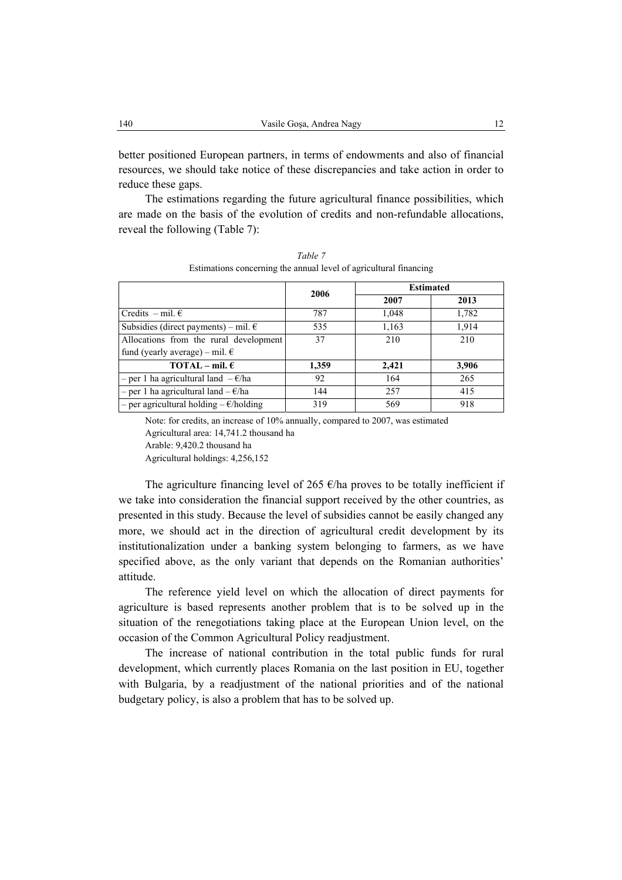better positioned European partners, in terms of endowments and also of financial resources, we should take notice of these discrepancies and take action in order to reduce these gaps.

The estimations regarding the future agricultural finance possibilities, which are made on the basis of the evolution of credits and non-refundable allocations, reveal the following (Table 7):

|                                                  | 2006  | <b>Estimated</b> |       |  |
|--------------------------------------------------|-------|------------------|-------|--|
|                                                  |       | 2007             | 2013  |  |
| Credits $-$ mil. $\epsilon$                      | 787   | 1,048            | 1,782 |  |
| Subsidies (direct payments) – mil. $\epsilon$    | 535   | 1,163            | 1,914 |  |
| Allocations from the rural development           | 37    | 210              | 210   |  |
| fund (yearly average) – mil. $\epsilon$          |       |                  |       |  |
| $TOTAL - mil. \epsilon$                          | 1,359 | 2,421            | 3,906 |  |
| - per 1 ha agricultural land $-\epsilon/\hbar a$ | 92    | 164              | 265   |  |
| - per 1 ha agricultural land $-\epsilon$ /ha     | 144   | 257              | 415   |  |
| - per agricultural holding $-\epsilon$ /holding  | 319   | 569              | 918   |  |

*Table 7*  Estimations concerning the annual level of agricultural financing

Note: for credits, an increase of 10% annually, compared to 2007, was estimated Agricultural area: 14,741.2 thousand ha Arable: 9,420.2 thousand ha Agricultural holdings: 4,256,152

The agriculture financing level of 265  $\epsilon$ /ha proves to be totally inefficient if we take into consideration the financial support received by the other countries, as presented in this study. Because the level of subsidies cannot be easily changed any more, we should act in the direction of agricultural credit development by its institutionalization under a banking system belonging to farmers, as we have specified above, as the only variant that depends on the Romanian authorities' attitude.

The reference yield level on which the allocation of direct payments for agriculture is based represents another problem that is to be solved up in the situation of the renegotiations taking place at the European Union level, on the occasion of the Common Agricultural Policy readjustment.

The increase of national contribution in the total public funds for rural development, which currently places Romania on the last position in EU, together with Bulgaria, by a readjustment of the national priorities and of the national budgetary policy, is also a problem that has to be solved up.